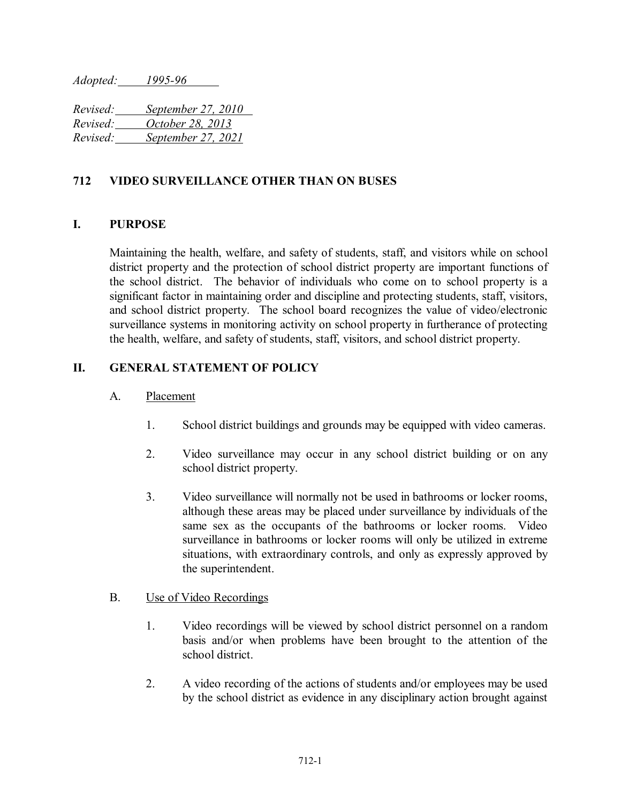*Adopted: 1995-96*

*Revised: September 27, 2010 Revised: October 28, 2013 Revised: September 27, 2021*

## **712 VIDEO SURVEILLANCE OTHER THAN ON BUSES**

## **I. PURPOSE**

Maintaining the health, welfare, and safety of students, staff, and visitors while on school district property and the protection of school district property are important functions of the school district. The behavior of individuals who come on to school property is a significant factor in maintaining order and discipline and protecting students, staff, visitors, and school district property. The school board recognizes the value of video/electronic surveillance systems in monitoring activity on school property in furtherance of protecting the health, welfare, and safety of students, staff, visitors, and school district property.

# **II. GENERAL STATEMENT OF POLICY**

#### A. Placement

- 1. School district buildings and grounds may be equipped with video cameras.
- 2. Video surveillance may occur in any school district building or on any school district property.
- 3. Video surveillance will normally not be used in bathrooms or locker rooms, although these areas may be placed under surveillance by individuals of the same sex as the occupants of the bathrooms or locker rooms. Video surveillance in bathrooms or locker rooms will only be utilized in extreme situations, with extraordinary controls, and only as expressly approved by the superintendent.

## B. Use of Video Recordings

- 1. Video recordings will be viewed by school district personnel on a random basis and/or when problems have been brought to the attention of the school district.
- 2. A video recording of the actions of students and/or employees may be used by the school district as evidence in any disciplinary action brought against